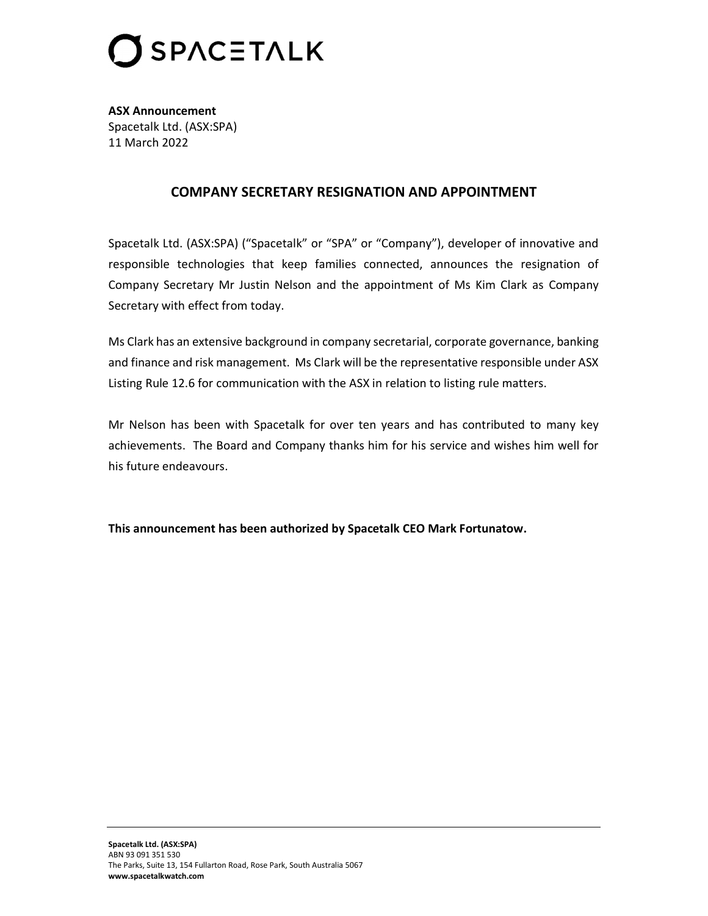

ASX Announcement Spacetalk Ltd. (ASX:SPA) 11 March 2022

## COMPANY SECRETARY RESIGNATION AND APPOINTMENT

Spacetalk Ltd. (ASX:SPA) ("Spacetalk" or "SPA" or "Company"), developer of innovative and responsible technologies that keep families connected, announces the resignation of Company Secretary Mr Justin Nelson and the appointment of Ms Kim Clark as Company Secretary with effect from today.

Ms Clark has an extensive background in company secretarial, corporate governance, banking and finance and risk management. Ms Clark will be the representative responsible under ASX Listing Rule 12.6 for communication with the ASX in relation to listing rule matters.

Mr Nelson has been with Spacetalk for over ten years and has contributed to many key achievements. The Board and Company thanks him for his service and wishes him well for his future endeavours.

This announcement has been authorized by Spacetalk CEO Mark Fortunatow.